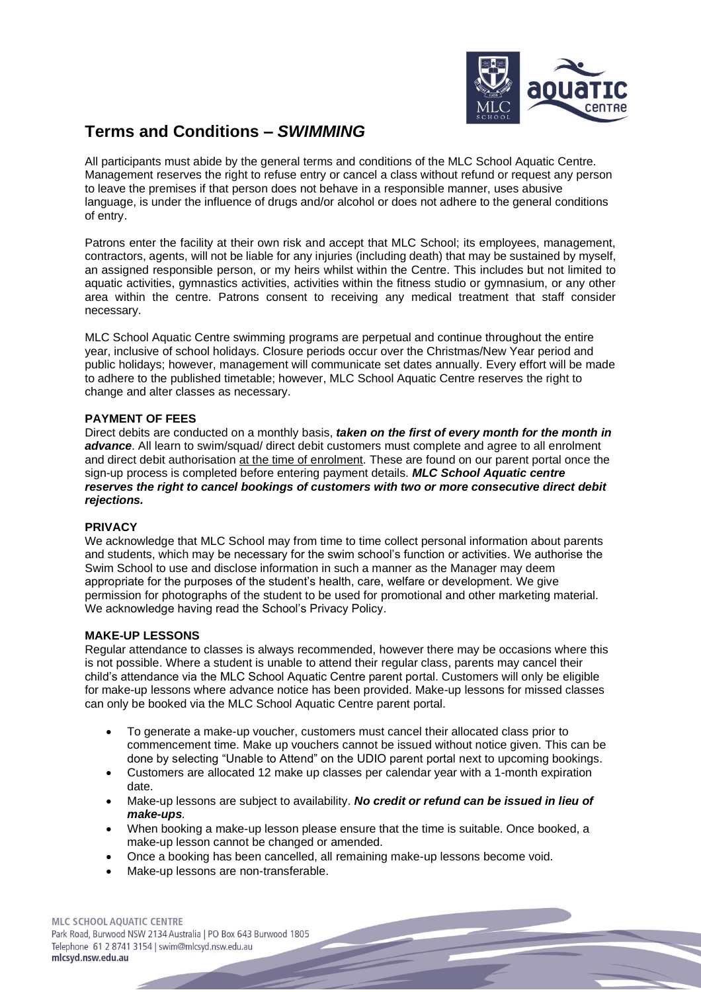

# **Terms and Conditions** *– SWIMMING*

All participants must abide by the general terms and conditions of the MLC School Aquatic Centre. Management reserves the right to refuse entry or cancel a class without refund or request any person to leave the premises if that person does not behave in a responsible manner, uses abusive language, is under the influence of drugs and/or alcohol or does not adhere to the general conditions of entry.

Patrons enter the facility at their own risk and accept that MLC School; its employees, management, contractors, agents, will not be liable for any injuries (including death) that may be sustained by myself, an assigned responsible person, or my heirs whilst within the Centre. This includes but not limited to aquatic activities, gymnastics activities, activities within the fitness studio or gymnasium, or any other area within the centre. Patrons consent to receiving any medical treatment that staff consider necessary.

MLC School Aquatic Centre swimming programs are perpetual and continue throughout the entire year, inclusive of school holidays. Closure periods occur over the Christmas/New Year period and public holidays; however, management will communicate set dates annually. Every effort will be made to adhere to the published timetable; however, MLC School Aquatic Centre reserves the right to change and alter classes as necessary.

# **PAYMENT OF FEES**

Direct debits are conducted on a monthly basis, *taken on the first of every month for the month in advance*. All learn to swim/squad/ direct debit customers must complete and agree to all enrolment and direct debit authorisation at the time of enrolment. These are found on our parent portal once the sign-up process is completed before entering payment details. *MLC School Aquatic centre reserves the right to cancel bookings of customers with two or more consecutive direct debit rejections.*

#### **PRIVACY**

We acknowledge that MLC School may from time to time collect personal information about parents and students, which may be necessary for the swim school's function or activities. We authorise the Swim School to use and disclose information in such a manner as the Manager may deem appropriate for the purposes of the student's health, care, welfare or development. We give permission for photographs of the student to be used for promotional and other marketing material. We acknowledge having read the School's Privacy Policy.

#### **MAKE-UP LESSONS**

Regular attendance to classes is always recommended, however there may be occasions where this is not possible. Where a student is unable to attend their regular class, parents may cancel their child's attendance via the MLC School Aquatic Centre parent portal. Customers will only be eligible for make-up lessons where advance notice has been provided. Make-up lessons for missed classes can only be booked via the MLC School Aquatic Centre parent portal.

- To generate a make-up voucher, customers must cancel their allocated class prior to commencement time. Make up vouchers cannot be issued without notice given. This can be done by selecting "Unable to Attend" on the UDIO parent portal next to upcoming bookings.
- Customers are allocated 12 make up classes per calendar year with a 1-month expiration date.
- Make-up lessons are subject to availability. *No credit or refund can be issued in lieu of make-ups.*
- When booking a make-up lesson please ensure that the time is suitable. Once booked, a make-up lesson cannot be changed or amended.
- Once a booking has been cancelled, all remaining make-up lessons become void.
- Make-up lessons are non-transferable.

MLC SCHOOL AQUATIC CENTRE Park Road, Burwood NSW 2134 Australia | PO Box 643 Burwood 1805 Telephone 61 2 8741 3154 | swim@mlcsyd.nsw.edu.au mlcsyd.nsw.edu.au